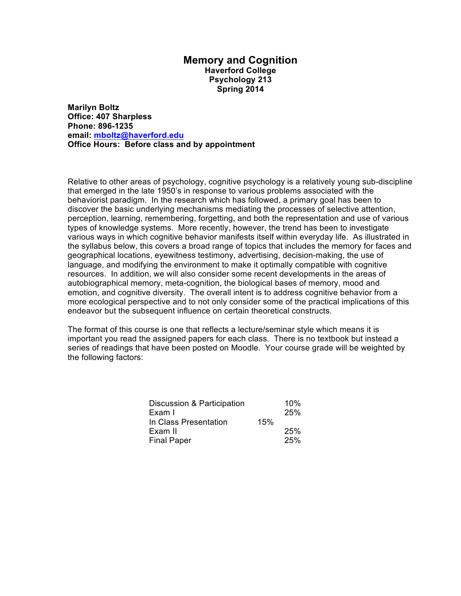### **Memory and Cognition Haverford College Psychology 213 Spring 2014**

**Marilyn Boltz Office: 407 Sharpless Phone: 896-1235 email: mboltz@haverford.edu Office Hours: Before class and by appointment**

Relative to other areas of psychology, cognitive psychology is a relatively young sub-discipline that emerged in the late 1950's in response to various problems associated with the behaviorist paradigm. In the research which has followed, a primary goal has been to discover the basic underlying mechanisms mediating the processes of selective attention, perception, learning, remembering, forgetting, and both the representation and use of various types of knowledge systems. More recently, however, the trend has been to investigate various ways in which cognitive behavior manifests itself within everyday life. As illustrated in the syllabus below, this covers a broad range of topics that includes the memory for faces and geographical locations, eyewitness testimony, advertising, decision-making, the use of language, and modifying the environment to make it optimally compatible with cognitive resources. In addition, we will also consider some recent developments in the areas of autobiographical memory, meta-cognition, the biological bases of memory, mood and emotion, and cognitive diversity. The overall intent is to address cognitive behavior from a more ecological perspective and to not only consider some of the practical implications of this endeavor but the subsequent influence on certain theoretical constructs.

The format of this course is one that reflects a lecture/seminar style which means it is important you read the assigned papers for each class. There is no textbook but instead a series of readings that have been posted on Moodle. Your course grade will be weighted by the following factors:

|     | 10% |
|-----|-----|
|     | 25% |
| 15% |     |
|     | 25% |
|     | 25% |
|     |     |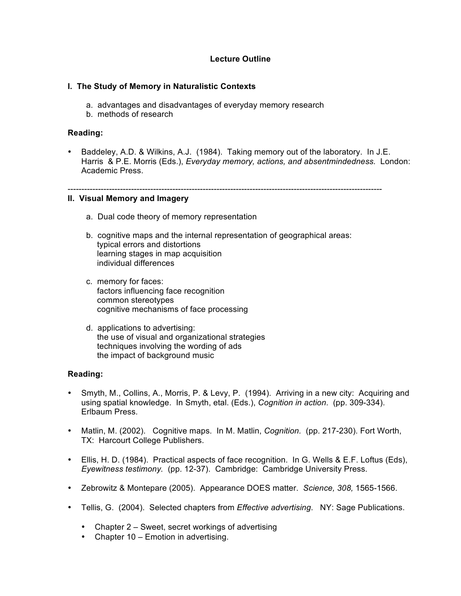### **Lecture Outline**

### **I. The Study of Memory in Naturalistic Contexts**

- a. advantages and disadvantages of everyday memory research
- b. methods of research

### **Reading:**

• Baddeley, A.D. & Wilkins, A.J. (1984). Taking memory out of the laboratory. In J.E. Harris & P.E. Morris (Eds.), *Everyday memory, actions, and absentmindedness.* London: Academic Press.

#### ------------------------------------------------------------------------------------------------------------------

### **II. Visual Memory and Imagery**

- a. Dual code theory of memory representation
- b. cognitive maps and the internal representation of geographical areas: typical errors and distortions learning stages in map acquisition individual differences
- c. memory for faces: factors influencing face recognition common stereotypes cognitive mechanisms of face processing
- d. applications to advertising: the use of visual and organizational strategies techniques involving the wording of ads the impact of background music

### **Reading:**

- Smyth, M., Collins, A., Morris, P. & Levy, P. (1994). Arriving in a new city: Acquiring and using spatial knowledge. In Smyth, etal. (Eds.), *Cognition in action*. (pp. 309-334). Erlbaum Press.
- Matlin, M. (2002). Cognitive maps. In M. Matlin, *Cognition.* (pp. 217-230). Fort Worth, TX: Harcourt College Publishers.
- Ellis, H. D. (1984). Practical aspects of face recognition. In G. Wells & E.F. Loftus (Eds), *Eyewitness testimony.* (pp. 12-37). Cambridge: Cambridge University Press.
- Zebrowitz & Montepare (2005). Appearance DOES matter. *Science, 308,* 1565-1566.
- Tellis, G. (2004). Selected chapters from *Effective advertising*. NY: Sage Publications.
	- Chapter 2 Sweet, secret workings of advertising
	- Chapter 10 Emotion in advertising.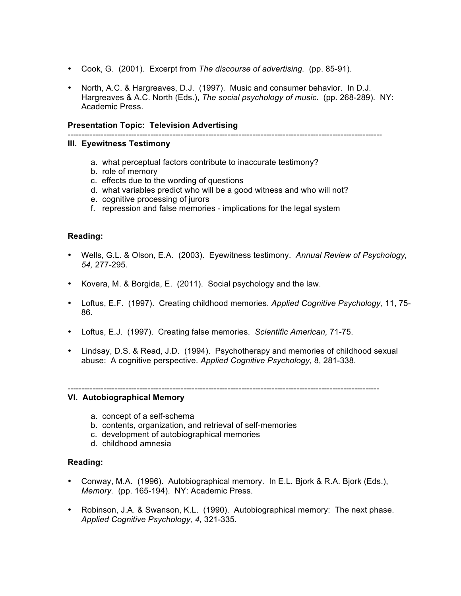- Cook, G. (2001). Excerpt from *The discourse of advertising.* (pp. 85-91).
- North, A.C. & Hargreaves, D.J. (1997). Music and consumer behavior. In D.J. Hargreaves & A.C. North (Eds.), *The social psychology of music*. (pp. 268-289). NY: Academic Press.

#### **Presentation Topic: Television Advertising**

# ------------------------------------------------------------------------------------------------------------------

### **III. Eyewitness Testimony**

- a. what perceptual factors contribute to inaccurate testimony?
- b. role of memory
- c. effects due to the wording of questions
- d. what variables predict who will be a good witness and who will not?
- e. cognitive processing of jurors
- f. repression and false memories implications for the legal system

### **Reading:**

- Wells, G.L. & Olson, E.A. (2003). Eyewitness testimony. *Annual Review of Psychology, 54,* 277-295.
- Kovera, M. & Borgida, E. (2011). Social psychology and the law.
- Loftus, E.F. (1997). Creating childhood memories. *Applied Cognitive Psychology,* 11, 75- 86.
- Loftus, E.J. (1997). Creating false memories. *Scientific American,* 71-75.
- Lindsay, D.S. & Read, J.D. (1994). Psychotherapy and memories of childhood sexual abuse: A cognitive perspective. *Applied Cognitive Psychology*, 8, 281-338.

#### -----------------------------------------------------------------------------------------------------------------

# a. concept of a self-schema

- b. contents, organization, and retrieval of self-memories
- c. development of autobiographical memories
- d. childhood amnesia

**VI. Autobiographical Memory**

#### **Reading:**

- Conway, M.A. (1996). Autobiographical memory. In E.L. Bjork & R.A. Bjork (Eds.), *Memory.* (pp. 165-194). NY: Academic Press.
- Robinson, J.A. & Swanson, K.L. (1990). Autobiographical memory: The next phase. *Applied Cognitive Psychology, 4,* 321-335.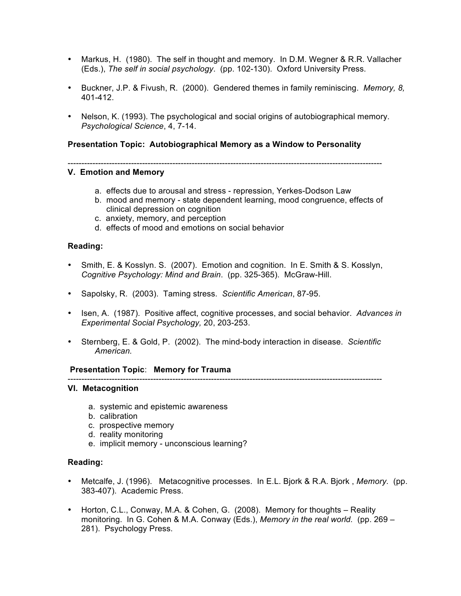- Markus, H. (1980). The self in thought and memory. In D.M. Wegner & R.R. Vallacher (Eds.), *The self in social psychology*. (pp. 102-130). Oxford University Press.
- Buckner, J.P. & Fivush, R. (2000). Gendered themes in family reminiscing. *Memory, 8,* 401-412.
- Nelson, K. (1993). The psychological and social origins of autobiographical memory. *Psychological Science*, 4, 7-14.

### **Presentation Topic: Autobiographical Memory as a Window to Personality**

------------------------------------------------------------------------------------------------------------------

### **V. Emotion and Memory**

- a. effects due to arousal and stress repression, Yerkes-Dodson Law
- b. mood and memory state dependent learning, mood congruence, effects of clinical depression on cognition
- c. anxiety, memory, and perception
- d. effects of mood and emotions on social behavior

### **Reading:**

- Smith, E. & Kosslyn. S. (2007). Emotion and cognition. In E. Smith & S. Kosslyn, *Cognitive Psychology: Mind and Brain*. (pp. 325-365). McGraw-Hill.
- Sapolsky, R. (2003). Taming stress. *Scientific American*, 87-95.
- Isen, A. (1987). Positive affect, cognitive processes, and social behavior. *Advances in Experimental Social Psychology,* 20, 203-253.
- Sternberg, E. & Gold, P. (2002). The mind-body interaction in disease. *Scientific American.*

#### **Presentation Topic**: **Memory for Trauma**

------------------------------------------------------------------------------------------------------------------

#### **VI. Metacognition**

- a. systemic and epistemic awareness
- b. calibration
- c. prospective memory
- d. reality monitoring
- e. implicit memory unconscious learning?

#### **Reading:**

- Metcalfe, J. (1996). Metacognitive processes. In E.L. Bjork & R.A. Bjork , *Memory.* (pp. 383-407). Academic Press.
- Horton, C.L., Conway, M.A. & Cohen, G. (2008). Memory for thoughts Reality monitoring. In G. Cohen & M.A. Conway (Eds.), *Memory in the real world.* (pp. 269 – 281). Psychology Press.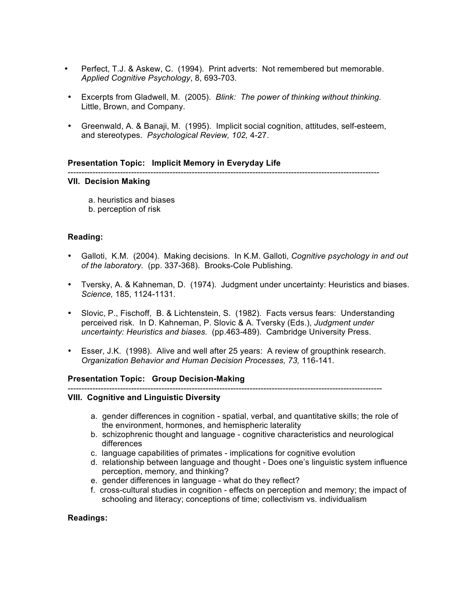- Perfect, T.J. & Askew, C. (1994). Print adverts: Not remembered but memorable. *Applied Cognitive Psychology*, 8, 693-703.
- Excerpts from Gladwell, M. (2005). *Blink: The power of thinking without thinking.* Little, Brown, and Company.
- Greenwald, A. & Banaji, M. (1995). Implicit social cognition, attitudes, self-esteem, and stereotypes. *Psychological Review, 102,* 4-27.

#### **Presentation Topic: Implicit Memory in Everyday Life**

-----------------------------------------------------------------------------------------------------------------

### **VII. Decision Making**

 a. heuristics and biases b. perception of risk

### **Reading:**

- Galloti, K.M. (2004). Making decisions. In K.M. Galloti, *Cognitive psychology in and out of the laboratory.* (pp. 337-368). Brooks-Cole Publishing.
- Tversky, A. & Kahneman, D. (1974). Judgment under uncertainty: Heuristics and biases. *Science,* 185, 1124-1131.
- Slovic, P., Fischoff, B. & Lichtenstein, S. (1982). Facts versus fears: Understanding perceived risk. In D. Kahneman, P. Slovic & A. Tversky (Eds.), *Judgment under uncertainty: Heuristics and biases.* (pp.463-489). Cambridge University Press.
- Esser, J.K. (1998). Alive and well after 25 years: A review of groupthink research. *Organization Behavior and Human Decision Processes, 73,* 116-141.

#### **Presentation Topic: Group Decision-Making**

------------------------------------------------------------------------------------------------------------------

### **VIII. Cognitive and Linguistic Diversity**

- a. gender differences in cognition spatial, verbal, and quantitative skills; the role of the environment, hormones, and hemispheric laterality
- b. schizophrenic thought and language cognitive characteristics and neurological differences
- c. language capabilities of primates implications for cognitive evolution
- d. relationship between language and thought Does one's linguistic system influence perception, memory, and thinking?
- e. gender differences in language what do they reflect?
- f. cross-cultural studies in cognition effects on perception and memory; the impact of schooling and literacy; conceptions of time; collectivism vs. individualism

### **Readings:**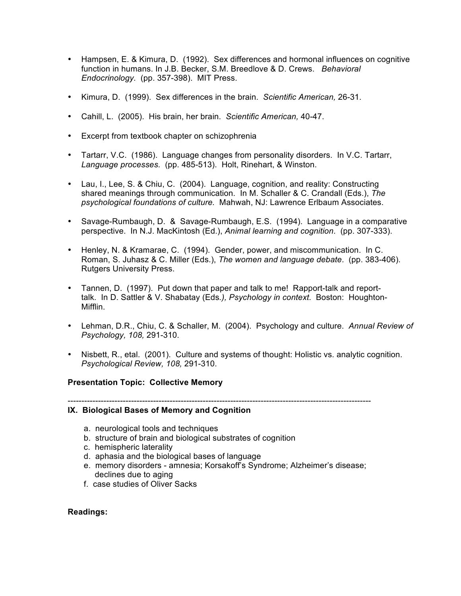- Hampsen, E. & Kimura, D. (1992). Sex differences and hormonal influences on cognitive function in humans. In J.B. Becker, S.M. Breedlove & D. Crews. *Behavioral Endocrinology.* (pp. 357-398). MIT Press.
- Kimura, D. (1999). Sex differences in the brain. *Scientific American,* 26-31.
- Cahill, L. (2005). His brain, her brain. *Scientific American,* 40-47.
- Excerpt from textbook chapter on schizophrenia
- Tartarr, V.C. (1986). Language changes from personality disorders. In V.C. Tartarr, *Language processes.* (pp. 485-513). Holt, Rinehart, & Winston.
- Lau, I., Lee, S. & Chiu, C. (2004). Language, cognition, and reality: Constructing shared meanings through communication. In M. Schaller & C. Crandall (Eds.), *The psychological foundations of culture.* Mahwah, NJ: Lawrence Erlbaum Associates.
- Savage-Rumbaugh, D. & Savage-Rumbaugh, E.S. (1994). Language in a comparative perspective. In N.J. MacKintosh (Ed.), *Animal learning and cognition*. (pp. 307-333).
- Henley, N. & Kramarae, C. (1994). Gender, power, and miscommunication. In C. Roman, S. Juhasz & C. Miller (Eds.), *The women and language debate*. (pp. 383-406). Rutgers University Press.
- Tannen, D. (1997). Put down that paper and talk to me! Rapport-talk and reporttalk. In D. Sattler & V. Shabatay (Eds*.), Psychology in context.* Boston: Houghton-Mifflin.
- Lehman, D.R., Chiu, C. & Schaller, M. (2004). Psychology and culture. *Annual Review of Psychology, 108,* 291-310.
- Nisbett, R., etal. (2001). Culture and systems of thought: Holistic vs. analytic cognition. *Psychological Review, 108,* 291-310.

#### **Presentation Topic: Collective Memory**

--------------------------------------------------------------------------------------------------------------

## **IX. Biological Bases of Memory and Cognition**

- a. neurological tools and techniques
- b. structure of brain and biological substrates of cognition
- c. hemispheric laterality
- d. aphasia and the biological bases of language
- e. memory disorders amnesia; Korsakoff's Syndrome; Alzheimer's disease; declines due to aging
- f. case studies of Oliver Sacks

#### **Readings:**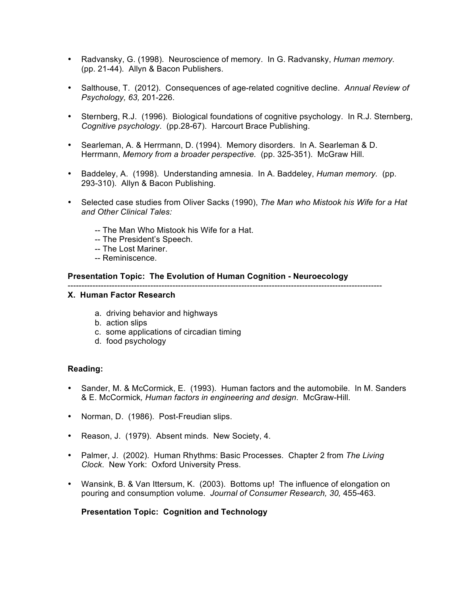- Radvansky, G. (1998). Neuroscience of memory. In G. Radvansky, *Human memory.* (pp. 21-44). Allyn & Bacon Publishers.
- Salthouse, T. (2012). Consequences of age-related cognitive decline. *Annual Review of Psychology, 63,* 201-226.
- Sternberg, R.J. (1996). Biological foundations of cognitive psychology. In R.J. Sternberg, *Cognitive psychology*. (pp.28-67). Harcourt Brace Publishing.
- Searleman, A. & Herrmann, D. (1994). Memory disorders. In A. Searleman & D. Herrmann, *Memory from a broader perspective.* (pp. 325-351). McGraw Hill.
- Baddeley, A. (1998). Understanding amnesia. In A. Baddeley, *Human memory.* (pp. 293-310). Allyn & Bacon Publishing.
- Selected case studies from Oliver Sacks (1990), *The Man who Mistook his Wife for a Hat and Other Clinical Tales:*
	- -- The Man Who Mistook his Wife for a Hat.
	- -- The President's Speech.
	- -- The Lost Mariner.
	- -- Reminiscence.

### **Presentation Topic: The Evolution of Human Cognition - Neuroecology**

------------------------------------------------------------------------------------------------------------------

### **X. Human Factor Research**

- a. driving behavior and highways
- b. action slips
- c. some applications of circadian timing
- d. food psychology

### **Reading:**

- Sander, M. & McCormick, E. (1993). Human factors and the automobile. In M. Sanders & E. McCormick*, Human factors in engineering and design*. McGraw-Hill.
- Norman, D. (1986). Post-Freudian slips.
- Reason, J. (1979). Absent minds. New Society, 4.
- Palmer, J. (2002). Human Rhythms: Basic Processes. Chapter 2 from *The Living Clock*. New York: Oxford University Press.
- Wansink, B. & Van Ittersum, K. (2003). Bottoms up! The influence of elongation on pouring and consumption volume. *Journal of Consumer Research, 30,* 455-463.

### **Presentation Topic: Cognition and Technology**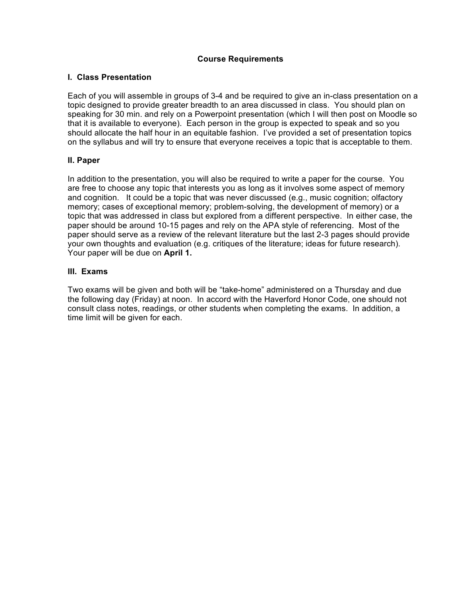### **Course Requirements**

### **I. Class Presentation**

Each of you will assemble in groups of 3-4 and be required to give an in-class presentation on a topic designed to provide greater breadth to an area discussed in class. You should plan on speaking for 30 min. and rely on a Powerpoint presentation (which I will then post on Moodle so that it is available to everyone). Each person in the group is expected to speak and so you should allocate the half hour in an equitable fashion. I've provided a set of presentation topics on the syllabus and will try to ensure that everyone receives a topic that is acceptable to them.

### **II. Paper**

In addition to the presentation, you will also be required to write a paper for the course. You are free to choose any topic that interests you as long as it involves some aspect of memory and cognition. It could be a topic that was never discussed (e.g., music cognition; olfactory memory; cases of exceptional memory; problem-solving, the development of memory) or a topic that was addressed in class but explored from a different perspective. In either case, the paper should be around 10-15 pages and rely on the APA style of referencing. Most of the paper should serve as a review of the relevant literature but the last 2-3 pages should provide your own thoughts and evaluation (e.g. critiques of the literature; ideas for future research). Your paper will be due on **April 1.**

### **III. Exams**

Two exams will be given and both will be "take-home" administered on a Thursday and due the following day (Friday) at noon. In accord with the Haverford Honor Code, one should not consult class notes, readings, or other students when completing the exams. In addition, a time limit will be given for each.